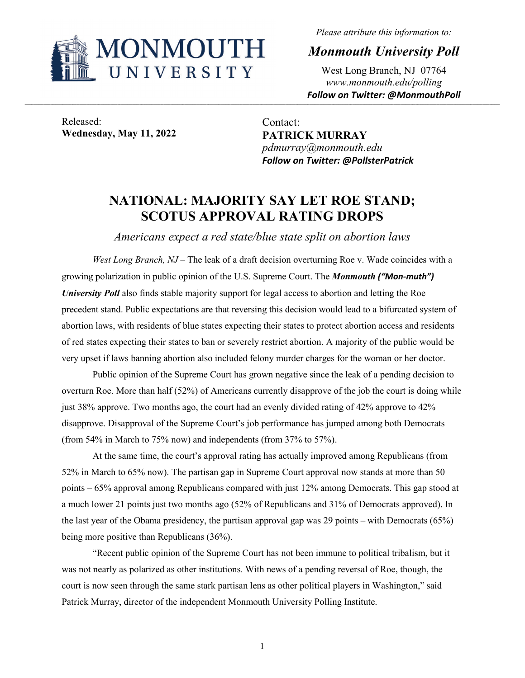

*Please attribute this information to:*

*Monmouth University Poll*

West Long Branch, NJ 07764 *www.monmouth.edu/polling Follow on Twitter: @MonmouthPoll*

Released: **Wednesday, May 11, 2022**

Contact: **PATRICK MURRAY** *pdmurray@monmouth.edu Follow on Twitter: @PollsterPatrick*

## **NATIONAL: MAJORITY SAY LET ROE STAND; SCOTUS APPROVAL RATING DROPS**

*Americans expect a red state/blue state split on abortion laws*

*West Long Branch, NJ* – The leak of a draft decision overturning Roe v. Wade coincides with a growing polarization in public opinion of the U.S. Supreme Court. The *Monmouth ("Mon-muth") University Poll* also finds stable majority support for legal access to abortion and letting the Roe precedent stand. Public expectations are that reversing this decision would lead to a bifurcated system of abortion laws, with residents of blue states expecting their states to protect abortion access and residents of red states expecting their states to ban or severely restrict abortion. A majority of the public would be very upset if laws banning abortion also included felony murder charges for the woman or her doctor.

Public opinion of the Supreme Court has grown negative since the leak of a pending decision to overturn Roe. More than half (52%) of Americans currently disapprove of the job the court is doing while just 38% approve. Two months ago, the court had an evenly divided rating of 42% approve to 42% disapprove. Disapproval of the Supreme Court's job performance has jumped among both Democrats (from 54% in March to 75% now) and independents (from 37% to 57%).

At the same time, the court's approval rating has actually improved among Republicans (from 52% in March to 65% now). The partisan gap in Supreme Court approval now stands at more than 50 points – 65% approval among Republicans compared with just 12% among Democrats. This gap stood at a much lower 21 points just two months ago (52% of Republicans and 31% of Democrats approved). In the last year of the Obama presidency, the partisan approval gap was 29 points – with Democrats (65%) being more positive than Republicans (36%).

"Recent public opinion of the Supreme Court has not been immune to political tribalism, but it was not nearly as polarized as other institutions. With news of a pending reversal of Roe, though, the court is now seen through the same stark partisan lens as other political players in Washington," said Patrick Murray, director of the independent Monmouth University Polling Institute.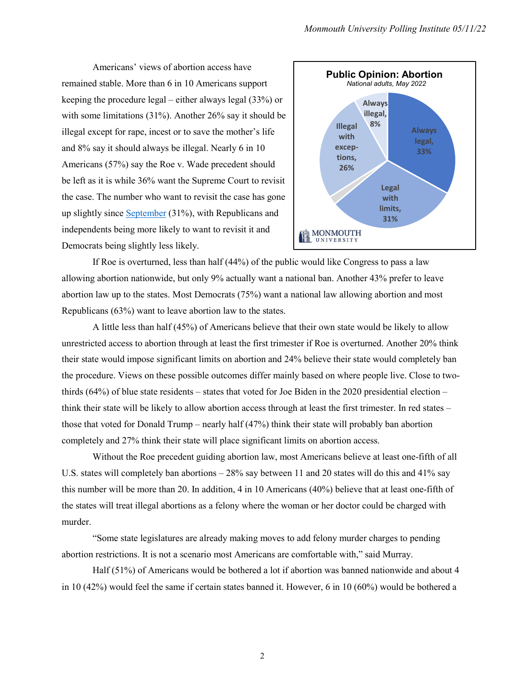Americans' views of abortion access have remained stable. More than 6 in 10 Americans support keeping the procedure legal – either always legal (33%) or with some limitations (31%). Another 26% say it should be illegal except for rape, incest or to save the mother's life and 8% say it should always be illegal. Nearly 6 in 10 Americans (57%) say the Roe v. Wade precedent should be left as it is while 36% want the Supreme Court to revisit the case. The number who want to revisit the case has gone up slightly since [September](https://www.monmouth.edu/polling-institute/reports/monmouthpoll_us_092021/#Question20) (31%), with Republicans and independents being more likely to want to revisit it and Democrats being slightly less likely.



If Roe is overturned, less than half (44%) of the public would like Congress to pass a law allowing abortion nationwide, but only 9% actually want a national ban. Another 43% prefer to leave abortion law up to the states. Most Democrats (75%) want a national law allowing abortion and most Republicans (63%) want to leave abortion law to the states.

A little less than half (45%) of Americans believe that their own state would be likely to allow unrestricted access to abortion through at least the first trimester if Roe is overturned. Another 20% think their state would impose significant limits on abortion and 24% believe their state would completely ban the procedure. Views on these possible outcomes differ mainly based on where people live. Close to twothirds  $(64%)$  of blue state residents – states that voted for Joe Biden in the 2020 presidential election – think their state will be likely to allow abortion access through at least the first trimester. In red states – those that voted for Donald Trump – nearly half (47%) think their state will probably ban abortion completely and 27% think their state will place significant limits on abortion access.

Without the Roe precedent guiding abortion law, most Americans believe at least one-fifth of all U.S. states will completely ban abortions – 28% say between 11 and 20 states will do this and 41% say this number will be more than 20. In addition, 4 in 10 Americans (40%) believe that at least one-fifth of the states will treat illegal abortions as a felony where the woman or her doctor could be charged with murder.

"Some state legislatures are already making moves to add felony murder charges to pending abortion restrictions. It is not a scenario most Americans are comfortable with," said Murray.

Half (51%) of Americans would be bothered a lot if abortion was banned nationwide and about 4 in 10 (42%) would feel the same if certain states banned it. However, 6 in 10 (60%) would be bothered a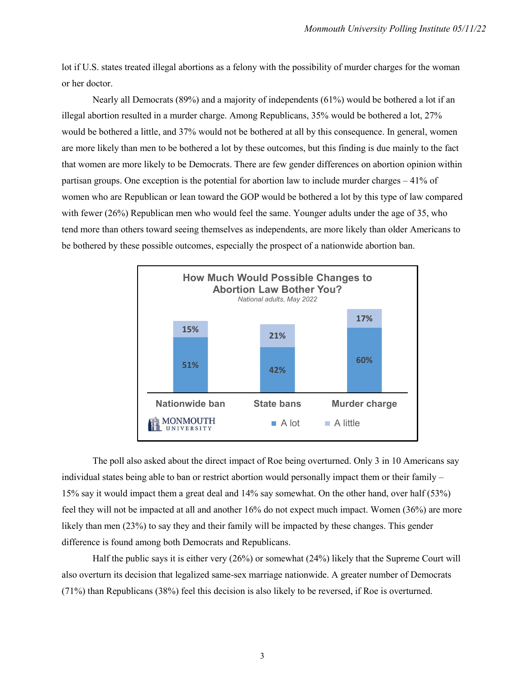lot if U.S. states treated illegal abortions as a felony with the possibility of murder charges for the woman or her doctor.

Nearly all Democrats (89%) and a majority of independents (61%) would be bothered a lot if an illegal abortion resulted in a murder charge. Among Republicans, 35% would be bothered a lot, 27% would be bothered a little, and 37% would not be bothered at all by this consequence. In general, women are more likely than men to be bothered a lot by these outcomes, but this finding is due mainly to the fact that women are more likely to be Democrats. There are few gender differences on abortion opinion within partisan groups. One exception is the potential for abortion law to include murder charges – 41% of women who are Republican or lean toward the GOP would be bothered a lot by this type of law compared with fewer (26%) Republican men who would feel the same. Younger adults under the age of 35, who tend more than others toward seeing themselves as independents, are more likely than older Americans to be bothered by these possible outcomes, especially the prospect of a nationwide abortion ban.



The poll also asked about the direct impact of Roe being overturned. Only 3 in 10 Americans say individual states being able to ban or restrict abortion would personally impact them or their family – 15% say it would impact them a great deal and 14% say somewhat. On the other hand, over half (53%) feel they will not be impacted at all and another 16% do not expect much impact. Women (36%) are more likely than men (23%) to say they and their family will be impacted by these changes. This gender difference is found among both Democrats and Republicans.

Half the public says it is either very (26%) or somewhat (24%) likely that the Supreme Court will also overturn its decision that legalized same-sex marriage nationwide. A greater number of Democrats (71%) than Republicans (38%) feel this decision is also likely to be reversed, if Roe is overturned.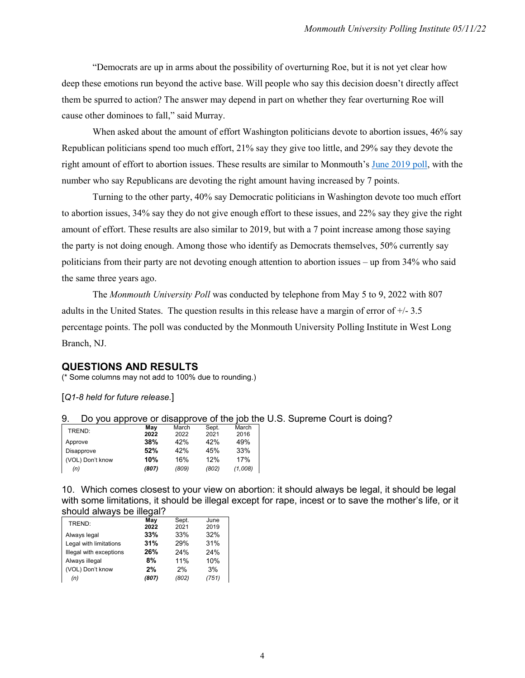"Democrats are up in arms about the possibility of overturning Roe, but it is not yet clear how deep these emotions run beyond the active base. Will people who say this decision doesn't directly affect them be spurred to action? The answer may depend in part on whether they fear overturning Roe will cause other dominoes to fall," said Murray.

When asked about the amount of effort Washington politicians devote to abortion issues, 46% say Republican politicians spend too much effort, 21% say they give too little, and 29% say they devote the right amount of effort to abortion issues. These results are similar to Monmouth'[s June 2019 poll,](https://www.monmouth.edu/polling-institute/reports/monmouthpoll_us_062519/#Question12A) with the number who say Republicans are devoting the right amount having increased by 7 points.

Turning to the other party, 40% say Democratic politicians in Washington devote too much effort to abortion issues, 34% say they do not give enough effort to these issues, and 22% say they give the right amount of effort. These results are also similar to 2019, but with a 7 point increase among those saying the party is not doing enough. Among those who identify as Democrats themselves, 50% currently say politicians from their party are not devoting enough attention to abortion issues – up from 34% who said the same three years ago.

The *Monmouth University Poll* was conducted by telephone from May 5 to 9, 2022 with 807 adults in the United States. The question results in this release have a margin of error of +/- 3.5 percentage points. The poll was conducted by the Monmouth University Polling Institute in West Long Branch, NJ.

## **QUESTIONS AND RESULTS**

(\* Some columns may not add to 100% due to rounding.)

[*Q1-8 held for future release.*]

| 9. |  | Do you approve or disapprove of the job the U.S. Supreme Court is doing? |  |
|----|--|--------------------------------------------------------------------------|--|
|    |  |                                                                          |  |

| TREND:           | May   | March | Sept. | March   |
|------------------|-------|-------|-------|---------|
|                  | 2022  | 2022  | 2021  | 2016    |
| Approve          | 38%   | 42%   | 42%   | 49%     |
| Disapprove       | 52%   | 42%   | 45%   | 33%     |
| (VOL) Don't know | 10%   | 16%   | 12%   | 17%     |
| (n)              | (807) | (809) | (802) | (1.008) |

10. Which comes closest to your view on abortion: it should always be legal, it should be legal with some limitations, it should be illegal except for rape, incest or to save the mother's life, or it should always be illegal?

| TREND:                  | May   | Sept. | June  |
|-------------------------|-------|-------|-------|
|                         | 2022  | 2021  | 2019  |
| Always legal            | 33%   | 33%   | 32%   |
| Legal with limitations  | 31%   | 29%   | 31%   |
| Illegal with exceptions | 26%   | 24%   | 24%   |
| Always illegal          | 8%    | 11%   | 10%   |
| (VOL) Don't know        | 2%    | 2%    | 3%    |
| (n)                     | (807) | (802) | (751) |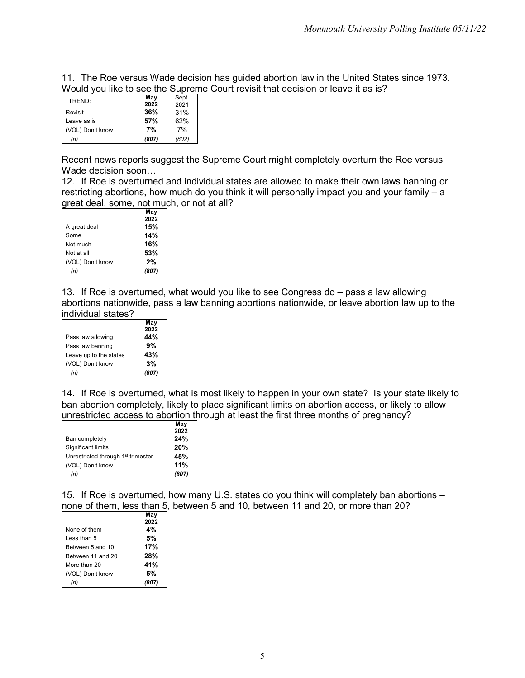11. The Roe versus Wade decision has guided abortion law in the United States since 1973. Would you like to see the Supreme Court revisit that decision or leave it as is?

| TREND:           | May   | Sept. |
|------------------|-------|-------|
|                  | 2022  | 2021  |
| Revisit          | 36%   | 31%   |
| Leave as is      | 57%   | 62%   |
| (VOL) Don't know | 7%    | 7%    |
| (n)              | (807) | (802) |

Recent news reports suggest the Supreme Court might completely overturn the Roe versus Wade decision soon…

12. If Roe is overturned and individual states are allowed to make their own laws banning or restricting abortions, how much do you think it will personally impact you and your family – a great deal, some, not much, or not at all?

|                  | May   |
|------------------|-------|
|                  | 2022  |
| A great deal     | 15%   |
| Some             | 14%   |
| Not much         | 16%   |
| Not at all       | 53%   |
| (VOL) Don't know | 2%    |
|                  | (807) |

13. If Roe is overturned, what would you like to see Congress do – pass a law allowing abortions nationwide, pass a law banning abortions nationwide, or leave abortion law up to the individual states?

|                        | May   |
|------------------------|-------|
|                        | 2022  |
| Pass law allowing      | 44%   |
| Pass law banning       | 9%    |
| Leave up to the states | 43%   |
| (VOL) Don't know       | 3%    |
| (n)                    | (807) |

14. If Roe is overturned, what is most likely to happen in your own state? Is your state likely to ban abortion completely, likely to place significant limits on abortion access, or likely to allow unrestricted access to abortion through at least the first three months of pregnancy?

|                                                | May   |
|------------------------------------------------|-------|
|                                                | 2022  |
| Ban completely                                 | 24%   |
| Significant limits                             | 20%   |
| Unrestricted through 1 <sup>st</sup> trimester | 45%   |
| (VOL) Don't know                               | 11%   |
| (n)                                            | (807) |

15. If Roe is overturned, how many U.S. states do you think will completely ban abortions – none of them, less than 5, between 5 and 10, between 11 and 20, or more than 20?

|                   | May  |
|-------------------|------|
|                   | 2022 |
| None of them      | 4%   |
| I ess than 5      | 5%   |
| Between 5 and 10  | 17%  |
| Between 11 and 20 | 28%  |
| More than 20      | 41%  |
| (VOL) Don't know  | 5%   |
|                   |      |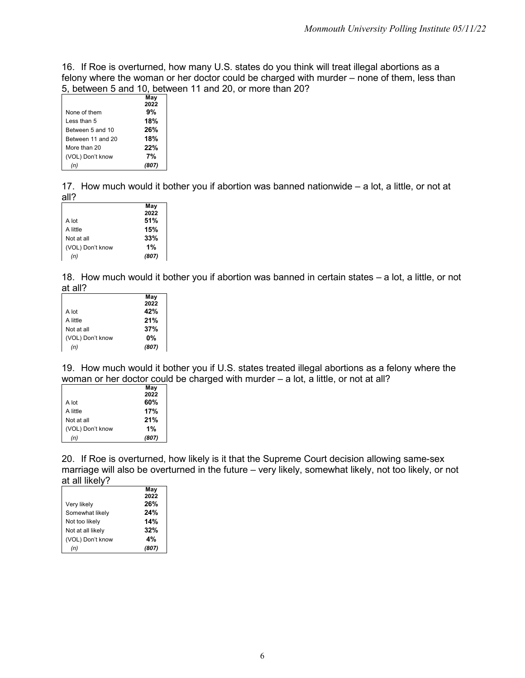16. If Roe is overturned, how many U.S. states do you think will treat illegal abortions as a felony where the woman or her doctor could be charged with murder – none of them, less than 5, between 5 and 10, between 11 and 20, or more than 20?

|                   | May   |
|-------------------|-------|
|                   | 2022  |
| None of them      | 9%    |
| I ess than 5      | 18%   |
| Between 5 and 10  | 26%   |
| Between 11 and 20 | 18%   |
| More than 20      | 22%   |
| (VOL) Don't know  | 7%    |
|                   | (807) |

17. How much would it bother you if abortion was banned nationwide – a lot, a little, or not at all?

|                  | May   |
|------------------|-------|
|                  | 2022  |
| A lot            | 51%   |
| A little         | 15%   |
| Not at all       | 33%   |
| (VOL) Don't know | 1%    |
| (n)              | (807) |

18. How much would it bother you if abortion was banned in certain states – a lot, a little, or not at all?

| May   |
|-------|
| 2022  |
| 42%   |
| 21%   |
| 37%   |
| 0%    |
| (807) |
|       |

19. How much would it bother you if U.S. states treated illegal abortions as a felony where the woman or her doctor could be charged with murder – a lot, a little, or not at all?

|                  | May   |
|------------------|-------|
|                  | 2022  |
| A lot            | 60%   |
| A little         | 17%   |
| Not at all       | 21%   |
| (VOL) Don't know | 1%    |
| (n)              | (807) |

20. If Roe is overturned, how likely is it that the Supreme Court decision allowing same-sex marriage will also be overturned in the future – very likely, somewhat likely, not too likely, or not at all likely?

|                   | May   |
|-------------------|-------|
|                   | 2022  |
| Very likely       | 26%   |
| Somewhat likely   | 24%   |
| Not too likely    | 14%   |
| Not at all likely | 32%   |
| (VOL) Don't know  | 4%    |
|                   | (807) |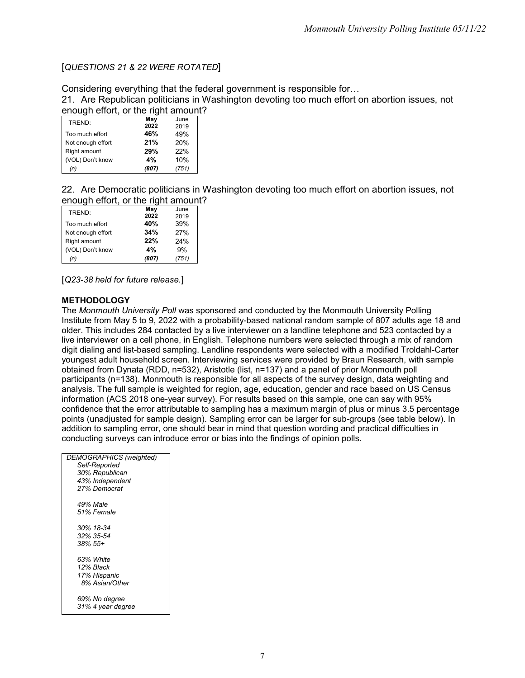## [*QUESTIONS 21 & 22 WERE ROTATED*]

Considering everything that the federal government is responsible for…

21. Are Republican politicians in Washington devoting too much effort on abortion issues, not enough effort, or the right amount?

| TREND:            | May   | June  |
|-------------------|-------|-------|
|                   | 2022  | 2019  |
| Too much effort   | 46%   | 49%   |
| Not enough effort | 21%   | 20%   |
| Right amount      | 29%   | 22%   |
| (VOL) Don't know  | 4%    | 10%   |
| (n)               | (807) | (751) |

22. Are Democratic politicians in Washington devoting too much effort on abortion issues, not enough effort, or the right amount?

| TREND:            | May   | June  |
|-------------------|-------|-------|
|                   | 2022  | 2019  |
| Too much effort   | 40%   | 39%   |
| Not enough effort | 34%   | 27%   |
| Right amount      | 22%   | 24%   |
| (VOL) Don't know  | 4%    | 9%    |
| (n)               | (807) | (751) |

[*Q23-38 held for future release.*]

## **METHODOLOGY**

The *Monmouth University Poll* was sponsored and conducted by the Monmouth University Polling Institute from May 5 to 9, 2022 with a probability-based national random sample of 807 adults age 18 and older. This includes 284 contacted by a live interviewer on a landline telephone and 523 contacted by a live interviewer on a cell phone, in English. Telephone numbers were selected through a mix of random digit dialing and list-based sampling. Landline respondents were selected with a modified Troldahl-Carter youngest adult household screen. Interviewing services were provided by Braun Research, with sample obtained from Dynata (RDD, n=532), Aristotle (list, n=137) and a panel of prior Monmouth poll participants (n=138). Monmouth is responsible for all aspects of the survey design, data weighting and analysis. The full sample is weighted for region, age, education, gender and race based on US Census information (ACS 2018 one-year survey). For results based on this sample, one can say with 95% confidence that the error attributable to sampling has a maximum margin of plus or minus 3.5 percentage points (unadjusted for sample design). Sampling error can be larger for sub-groups (see table below). In addition to sampling error, one should bear in mind that question wording and practical difficulties in conducting surveys can introduce error or bias into the findings of opinion polls.

| <b>DEMOGRAPHICS (weighted)</b> |
|--------------------------------|
| Self-Reported                  |
| 30% Republican                 |
| 43% Independent                |
| 27% Democrat                   |
|                                |
| 49% Male                       |
| 51% Female                     |
|                                |
| 30% 18-34                      |
| 32% 35-54                      |
| $.38\%$ 55+                    |
|                                |
| 63% White                      |
| 12% Black                      |
| 17% Hispanic                   |
| 8% Asian/Other                 |
|                                |
| 69% No degree                  |
| 31% 4 year degree              |
|                                |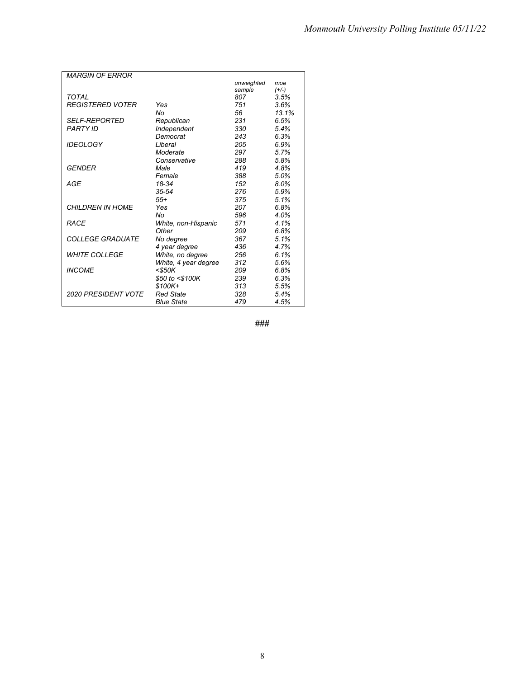| <b>MARGIN OF ERROR</b>     |                      |            |         |
|----------------------------|----------------------|------------|---------|
|                            |                      | unweighted | moe     |
|                            |                      | sample     | $(+/-)$ |
| TOTAL                      |                      | 807        | 3.5%    |
| <b>REGISTERED VOTER</b>    | Yes                  | 751        | 3.6%    |
|                            | No                   | 56         | 13.1%   |
| <b>SELF-REPORTED</b>       | Republican           | 231        | 6.5%    |
| <b>PARTY ID</b>            | Independent          | 330        | 5.4%    |
|                            | Democrat             | 243        | 6.3%    |
| <b>IDEOLOGY</b>            | Liberal              | 205        | 6.9%    |
|                            | Moderate             | 297        | 5.7%    |
|                            | Conservative         | 288        | 5.8%    |
| <b>GENDER</b>              | Male                 | 419        | 4.8%    |
|                            | Female               | 388        | 5.0%    |
| AGE                        | 18-34                | 152        | 8.0%    |
|                            | $35 - 54$            | 276        | 5.9%    |
|                            | $55+$                | 375        | 5.1%    |
| <b>CHILDREN IN HOME</b>    | Yes                  | 207        | 6.8%    |
|                            | No                   | 596        | 4.0%    |
| <b>RACE</b>                | White, non-Hispanic  | 571        | 4.1%    |
|                            | Other                | 209        | 6.8%    |
| <b>COLLEGE GRADUATE</b>    | No degree            | 367        | 5.1%    |
|                            | 4 year degree        | 436        | 4.7%    |
| <b>WHITE COLLEGE</b>       | White, no degree     | 256        | 6.1%    |
|                            | White, 4 year degree | 312        | 5.6%    |
| <b>INCOME</b>              | $<$ \$50K            | 209        | 6.8%    |
|                            | \$50 to <\$100K      | 239        | 6.3%    |
|                            | \$100K+              | 313        | 5.5%    |
| <b>2020 PRESIDENT VOTE</b> | <b>Red State</b>     | 328        | 5.4%    |
|                            | <b>Blue State</b>    | 479        | 4.5%    |

**###**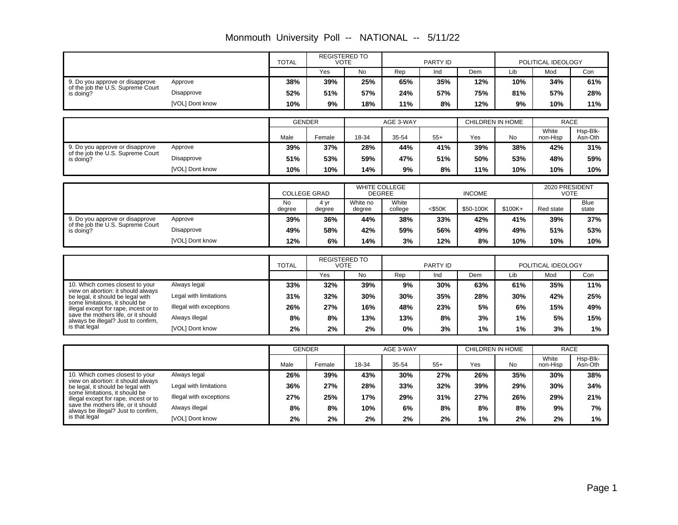|                                                                            |                         | <b>TOTAL</b>        | <b>REGISTERED TO</b><br><b>VOTE</b> |                      | PARTY ID         |           |                         | POLITICAL IDEOLOGY |                      |                      |  |
|----------------------------------------------------------------------------|-------------------------|---------------------|-------------------------------------|----------------------|------------------|-----------|-------------------------|--------------------|----------------------|----------------------|--|
|                                                                            |                         |                     | Yes                                 | <b>No</b>            | Rep              | Ind       | Dem                     | Lib                | Mod                  | Con                  |  |
| 9. Do you approve or disapprove                                            | Approve                 | 38%                 | 39%                                 | 25%                  | 65%              | 35%       | 12%                     | 10%                | 34%                  | 61%                  |  |
| of the job the U.S. Supreme Court<br>is doing?                             | Disapprove              | 52%                 | 51%                                 | 57%                  | 24%              | 57%       | 75%                     | 81%                | 57%                  | 28%                  |  |
|                                                                            | [VOL] Dont know         | 10%                 | 9%                                  | 18%                  | 11%              | 8%        | 12%                     | 9%                 | 10%                  | 11%                  |  |
|                                                                            |                         |                     |                                     |                      |                  |           |                         |                    |                      |                      |  |
|                                                                            |                         | <b>GENDER</b>       |                                     |                      | AGE 3-WAY        |           | <b>CHILDREN IN HOME</b> |                    | <b>RACE</b><br>White | Hsp-Blk-             |  |
|                                                                            |                         | Male                | Female                              | 18-34                | 35-54            | $55+$     | Yes                     | <b>No</b>          | non-Hisp             | Asn-Oth              |  |
| 9. Do you approve or disapprove<br>of the job the U.S. Supreme Court       | Approve                 | 39%                 | 37%                                 | 28%                  | 44%              | 41%       | 39%                     | 38%                | 42%                  | 31%                  |  |
| is doing?                                                                  | Disapprove              | 51%                 | 53%                                 | 59%                  | 47%              | 51%       | 50%                     | 53%                | 48%                  | 59%                  |  |
|                                                                            | [VOL] Dont know         | 10%                 | 10%                                 | 14%                  | 9%               | 8%        | 11%                     | 10%                | 10%                  | 10%                  |  |
|                                                                            |                         |                     |                                     | <b>WHITE COLLEGE</b> |                  |           |                         | 2020 PRESIDENT     |                      |                      |  |
|                                                                            |                         | <b>COLLEGE GRAD</b> |                                     | <b>DEGREE</b>        |                  |           | <b>INCOME</b>           |                    | <b>VOTE</b>          |                      |  |
|                                                                            |                         | <b>No</b><br>degree | 4 yr<br>degree                      | White no<br>degree   | White<br>college | $<$ \$50K | \$50-100K               | $$100K+$           | Red state            | <b>Blue</b><br>state |  |
| 9. Do you approve or disapprove                                            | Approve                 | 39%                 | 36%                                 | 44%                  | 38%              | 33%       | 42%                     | 41%                | 39%                  | 37%                  |  |
| of the job the U.S. Supreme Court<br>is doing?                             | Disapprove              | 49%                 | 58%                                 | 42%                  | 59%              | 56%       | 49%                     | 49%                | 51%                  | 53%                  |  |
|                                                                            | [VOL] Dont know         | 12%                 | 6%                                  | 14%                  | 3%               | 12%       | 8%                      | 10%                | 10%                  | 10%                  |  |
|                                                                            |                         |                     |                                     |                      |                  |           |                         |                    |                      |                      |  |
|                                                                            |                         | <b>TOTAL</b>        | <b>REGISTERED TO</b><br><b>VOTE</b> |                      |                  | PARTY ID  |                         |                    | POLITICAL IDEOLOGY   |                      |  |
|                                                                            |                         |                     | Yes                                 | <b>No</b>            | Rep              | Ind       | Dem                     | Lib                | Mod                  | Con                  |  |
| 10. Which comes closest to your<br>view on abortion: it should always      | Always legal            | 33%                 | 32%                                 | 39%                  | 9%               | 30%       | 63%                     | 61%                | 35%                  | 11%                  |  |
| be legal, it should be legal with                                          | Legal with limitations  | 31%                 | 32%                                 | 30%                  | 30%              | 35%       | 28%                     | 30%                | 42%                  | 25%                  |  |
| some limitations, it should be<br>illegal except for rape, incest or to    | Illegal with exceptions | 26%                 | 27%                                 | 16%                  | 48%              | 23%       | 5%                      | 6%                 | 15%                  | 49%                  |  |
| save the mothers life, or it should<br>always be illegal? Just to confirm, | Always illegal          | 8%                  | 8%                                  | 13%                  | 13%              | 8%        | 3%                      | 1%                 | 5%                   | 15%                  |  |
| is that legal                                                              | [VOL] Dont know         | 2%                  | 2%                                  | 2%                   | <b>0%</b>        | 3%        | 1%                      | 1%                 | 3%                   | $1\%$                |  |
|                                                                            |                         |                     |                                     |                      |                  |           |                         |                    |                      |                      |  |
|                                                                            |                         | <b>GENDER</b>       |                                     |                      | AGE 3-WAY        |           | <b>CHILDREN IN HOME</b> |                    | <b>RACE</b>          |                      |  |
|                                                                            |                         | Male                | Female                              | 18-34                | 35-54            | $55+$     | Yes                     | No                 | White<br>non-Hisp    | Hsp-Blk-<br>Asn-Oth  |  |
| 10. Which comes closest to your<br>view on abortion: it should always      | Always legal            | 26%                 | 39%                                 | 43%                  | 30%              | 27%       | 26%                     | 35%                | 30%                  | 38%                  |  |
| be legal, it should be legal with                                          | Legal with limitations  | 36%                 | 27%                                 | 28%                  | 33%              | 32%       | 39%                     | 29%                | 30%                  | 34%                  |  |
| some limitations, it should be<br>illegal except for rape, incest or to    | Illegal with exceptions | 27%                 | 25%                                 | 17%                  | 29%              | 31%       | 27%                     | 26%                | 29%                  | 21%                  |  |
| save the mothers life, or it should<br>always be illegal? Just to confirm, | Always illegal          | 8%                  | 8%                                  | 10%                  | 6%               | 8%        | 8%                      | 8%                 | 9%                   | 7%                   |  |
| is that legal                                                              | [VOL] Dont know         | 2%                  | 2%                                  | 2%                   | 2%               | 2%        | 1%                      | 2%                 | 2%                   | 1%                   |  |

Monmouth University Poll -- NATIONAL -- 5/11/22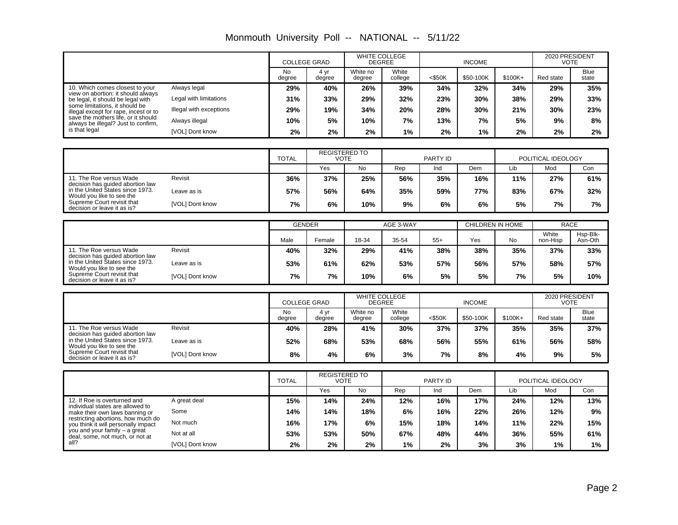| Monmouth University Poll -- NATIONAL -- 5/11/22 |  |  |  |
|-------------------------------------------------|--|--|--|
|-------------------------------------------------|--|--|--|

|                                                                                             |                         | <b>COLLEGE GRAD</b> |                | <b>WHITE COLLEGE</b><br><b>DEGREE</b> |                  | <b>INCOME</b> |           |          | 2020 PRESIDENT<br><b>VOTE</b> |                      |
|---------------------------------------------------------------------------------------------|-------------------------|---------------------|----------------|---------------------------------------|------------------|---------------|-----------|----------|-------------------------------|----------------------|
|                                                                                             |                         | No<br>degree        | 4 vr<br>degree | White no<br>degree                    | White<br>college | $<$ \$50K     | \$50-100K | $$100K+$ | Red state                     | <b>Blue</b><br>state |
| 10. Which comes closest to your                                                             | Always legal            | 29%                 | 40%            | 26%                                   | 39%              | 34%           | 32%       | 34%      | 29%                           | 35%                  |
| view on abortion: it should always<br>be legal, it should be legal with                     | Legal with limitations  | 31%                 | 33%            | 29%                                   | 32%              | 23%           | 30%       | 38%      | 29%                           | 33%                  |
| some limitations, it should be<br>illegal except for rape, incest or to                     | Illegal with exceptions | 29%                 | 19%            | 34%                                   | 20%              | 28%           | 30%       | 21%      | 30%                           | 23%                  |
| save the mothers life, or it should<br>always be illegal? Just to confirm,<br>is that legal | Always illegal          | 10%                 | 5%             | 10%                                   | 7%               | 13%           | 7%        | 5%       | 9%                            | 8%                   |
|                                                                                             | [VOL] Dont know         | 2%                  | 2%             | 2%                                    | 1%               | 2%            | 1%        | 2%       | 2%                            | 2%                   |

|                                                                                                                                                                                                                                        | <b>TOTAL</b> | <b>REGISTERED TO</b><br><b>VOTE</b> |     | PARTY ID |     |     | POLITICAL IDEOLOGY |     |     |
|----------------------------------------------------------------------------------------------------------------------------------------------------------------------------------------------------------------------------------------|--------------|-------------------------------------|-----|----------|-----|-----|--------------------|-----|-----|
|                                                                                                                                                                                                                                        |              | Yes                                 | No  | Rep      | Ind | Dem | Lib                | Mod | Con |
| Revisit<br>11. The Roe versus Wade<br>decision has quided abortion law<br>in the United States since 1973.<br>Leave as is<br>Would you like to see the<br>Supreme Court revisit that<br>[VOL] Dont know<br>decision or leave it as is? | 36%          | 37%                                 | 25% | 56%      | 35% | 16% | 11%                | 27% | 61% |
|                                                                                                                                                                                                                                        | 57%          | 56%                                 | 64% | 35%      | 59% | 77% | 83%                | 67% | 32% |
|                                                                                                                                                                                                                                        | 7%           | 6%                                  | 10% | 9%       | 6%  | 6%  | 5%                 | 7%  | 7%  |

|                                                                                                                                                                                           |                 | <b>GENDER</b> |        | AGE 3-WAY |       |       | CHILDREN IN HOME |     | <b>RACE</b>       |                     |
|-------------------------------------------------------------------------------------------------------------------------------------------------------------------------------------------|-----------------|---------------|--------|-----------|-------|-------|------------------|-----|-------------------|---------------------|
|                                                                                                                                                                                           |                 | Male          | Female | 18-34     | 35-54 | $55+$ | Yes              | No  | White<br>non-Hisp | Hsp-Blk-<br>Asn-Oth |
| 11. The Roe versus Wade<br>decision has quided abortion law<br>in the United States since 1973.<br>Would you like to see the<br>Supreme Court revisit that<br>decision or leave it as is? | Revisit         | 40%           | 32%    | 29%       | 41%   | 38%   | 38%              | 35% | 37%               | 33%                 |
|                                                                                                                                                                                           | Leave as is     | 53%           | 61%    | 62%       | 53%   | 57%   | 56%              | 57% | 58%               | 57%                 |
|                                                                                                                                                                                           | [VOL] Dont know | 7%            | 7%     | 10%       | 6%    | 5%    | 5%               | 7%  | 5%                | 10%                 |

|                                                                                                                                                                                           |                 | <b>COLLEGE GRAD</b> |                | <b>WHITE COLLEGE</b><br><b>DEGREE</b> |                  | <b>INCOME</b> |           |           | 2020 PRESIDENT<br><b>VOTE</b> |                      |
|-------------------------------------------------------------------------------------------------------------------------------------------------------------------------------------------|-----------------|---------------------|----------------|---------------------------------------|------------------|---------------|-----------|-----------|-------------------------------|----------------------|
|                                                                                                                                                                                           |                 | No<br>degree        | 4 yr<br>degree | White no<br>degree                    | White<br>college | $<$ \$50K     | \$50-100K | $$100K +$ | Red state                     | <b>Blue</b><br>state |
| 11. The Roe versus Wade<br>decision has quided abortion law<br>in the United States since 1973.<br>Would you like to see the<br>Supreme Court revisit that<br>decision or leave it as is? | Revisit         | 40%                 | 28%            | 41%                                   | 30%              | 37%           | 37%       | 35%       | 35%                           | 37%                  |
|                                                                                                                                                                                           | Leave as is     | 52%                 | 68%            | 53%                                   | 68%              | 56%           | 55%       | 61%       | 56%                           | 58%                  |
|                                                                                                                                                                                           | [VOL] Dont know | 8%                  | 4%             | 6%                                    | 3%               | 7%            | 8%        | 4%        | 9%                            | 5%                   |

|                                                                                                    |                 | <b>TOTAL</b> | <b>REGISTERED TO</b><br>VOTE |     | PARTY ID |     |     | POLITICAL IDEOLOGY |     |     |
|----------------------------------------------------------------------------------------------------|-----------------|--------------|------------------------------|-----|----------|-----|-----|--------------------|-----|-----|
|                                                                                                    |                 |              | Yes                          | No  | Rep      | Ind | Dem | Lib                | Mod | Con |
| 12. If Roe is overturned and<br>individual states are allowed to<br>make their own laws banning or | A great deal    | 15%          | 14%                          | 24% | 12%      | 16% | 17% | 24%                | 12% | 13% |
|                                                                                                    | Some            | 14%          | 14%                          | 18% | 6%       | 16% | 22% | 26%                | 12% | 9%  |
| restricting abortions, how much do<br>you think it will personally impact                          | Not much        | 16%          | 17%                          | 6%  | 15%      | 18% | 14% | 11%                | 22% | 15% |
| you and your family – a great<br>deal, some, not much, or not at<br>all?                           | Not at all      | 53%          | 53%                          | 50% | 67%      | 48% | 44% | 36%                | 55% | 61% |
|                                                                                                    | [VOL] Dont know | 2%           | 2%                           | 2%  | $1\%$    | 2%  | 3%  | 3%                 | 1%  | 1%  |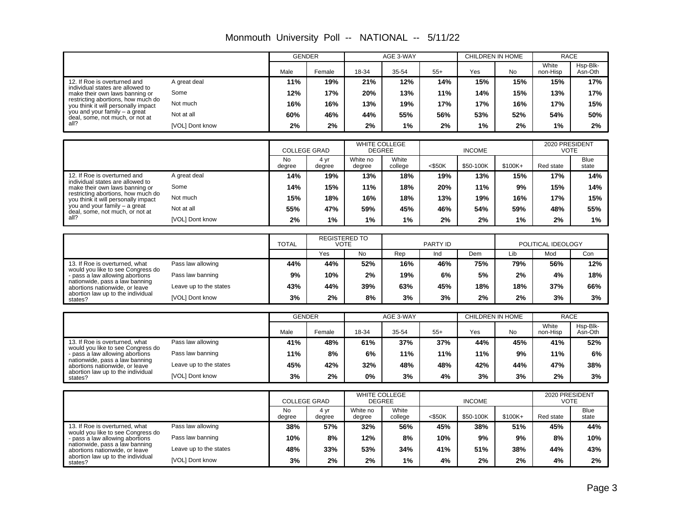|                                                                           |                        | <b>GENDER</b>               |                      |                                | AGE 3-WAY        |           | <b>CHILDREN IN HOME</b> |         | <b>RACE</b>                   |                      |
|---------------------------------------------------------------------------|------------------------|-----------------------------|----------------------|--------------------------------|------------------|-----------|-------------------------|---------|-------------------------------|----------------------|
|                                                                           |                        | Male                        | Female               | 18-34                          | 35-54            | $55+$     | Yes                     | No      | White<br>non-Hisp             | Hsp-Blk-<br>Asn-Oth  |
| 12. If Roe is overturned and<br>individual states are allowed to          | A great deal           | 11%                         | 19%                  | 21%                            | 12%              | 14%       | 15%                     | 15%     | 15%                           | 17%                  |
| make their own laws banning or                                            | Some                   | 12%                         | 17%                  | 20%                            | 13%              | 11%       | 14%                     | 15%     | 13%                           | 17%                  |
| restricting abortions, how much do<br>you think it will personally impact | Not much               | 16%                         | 16%                  | 13%                            | 19%              | 17%       | 17%                     | 16%     | 17%                           | 15%                  |
| you and your family - a great<br>deal, some, not much, or not at          | Not at all             | 60%                         | 46%                  | 44%                            | 55%              | 56%       | 53%                     | 52%     | 54%                           | 50%                  |
| all?                                                                      | [VOL] Dont know        | 2%                          | 2%                   | 2%                             | 1%               | 2%        | 1%                      | 2%      | 1%                            | 2%                   |
|                                                                           |                        |                             |                      | WHITE COLLEGE                  |                  |           |                         |         | 2020 PRESIDENT                |                      |
|                                                                           |                        | <b>COLLEGE GRAD</b>         |                      | <b>DEGREE</b>                  |                  |           | <b>INCOME</b>           |         | <b>VOTE</b>                   |                      |
|                                                                           |                        | <b>No</b><br>degree         | 4 yr<br>degree       | White no<br>degree             | White<br>college | $<$ \$50K | \$50-100K               | \$100K+ | Red state                     | <b>Blue</b><br>state |
| 12. If Roe is overturned and<br>individual states are allowed to          | A great deal           | 14%                         | 19%                  | 13%                            | 18%              | 19%       | 13%                     | 15%     | 17%                           | 14%                  |
| make their own laws banning or<br>restricting abortions, how much do      | Some                   | 14%                         | 15%                  | 11%                            | 18%              | 20%       | 11%                     | 9%      | 15%                           | 14%                  |
| you think it will personally impact                                       | Not much               | 15%                         | 18%                  | 16%                            | 18%              | 13%       | 19%                     | 16%     | 17%                           | 15%                  |
| you and your family - a great<br>deal, some, not much, or not at          | Not at all             | 55%                         | 47%                  | 59%                            | 45%              | 46%       | 54%                     | 59%     | 48%                           | 55%                  |
| all?                                                                      | [VOL] Dont know        | 2%                          | 1%                   | 1%                             | 1%               | 2%        | 2%                      | 1%      | 2%                            | $1\%$                |
|                                                                           |                        |                             | <b>REGISTERED TO</b> |                                |                  |           |                         |         |                               |                      |
|                                                                           |                        | <b>TOTAL</b><br><b>VOTE</b> |                      |                                |                  | PARTY ID  |                         |         | POLITICAL IDEOLOGY            |                      |
|                                                                           |                        |                             | Yes                  | <b>No</b>                      | Rep              | Ind       | Dem                     | Lib     | Mod                           | Con                  |
| 13. If Roe is overturned, what<br>would you like to see Congress do       | Pass law allowing      | 44%                         | 44%                  | 52%                            | 16%              | 46%       | 75%                     | 79%     | 56%                           | 12%                  |
| - pass a law allowing abortions<br>nationwide, pass a law banning         | Pass law banning       | 9%                          | 10%                  | 2%                             | 19%              | 6%        | 5%                      | 2%      | 4%                            | 18%                  |
| abortions nationwide, or leave<br>abortion law up to the individual       | Leave up to the states | 43%                         | 44%                  | 39%                            | 63%              | 45%       | 18%                     | 18%     | 37%                           | 66%                  |
| states?                                                                   | [VOL] Dont know        | 3%                          | 2%                   | 8%                             | 3%               | 3%        | 2%                      | 2%      | 3%                            | 3%                   |
|                                                                           |                        | <b>GENDER</b>               |                      |                                | AGE 3-WAY        |           | <b>CHILDREN IN HOME</b> |         | <b>RACE</b>                   |                      |
|                                                                           |                        | Male                        | Female               | 18-34                          | 35-54            | $55+$     | Yes                     | No      | White<br>non-Hisp             | Hsp-Blk-<br>Asn-Oth  |
| 13. If Roe is overturned, what                                            | Pass law allowing      | 41%                         | 48%                  | 61%                            | 37%              | 37%       | 44%                     | 45%     | 41%                           | 52%                  |
| would you like to see Congress do<br>- pass a law allowing abortions      | Pass law banning       | 11%                         | 8%                   | 6%                             | 11%              | 11%       | 11%                     | 9%      | 11%                           | 6%                   |
| nationwide, pass a law banning<br>abortions nationwide, or leave          | Leave up to the states | 45%                         | 42%                  | 32%                            | 48%              | 48%       | 42%                     | 44%     | 47%                           | 38%                  |
| abortion law up to the individual<br>states?                              | [VOL] Dont know        | 3%                          | 2%                   | 0%                             | 3%               | 4%        | 3%                      | 3%      | 2%                            | 3%                   |
|                                                                           |                        |                             |                      |                                |                  |           |                         |         |                               |                      |
|                                                                           |                        | <b>COLLEGE GRAD</b>         |                      | WHITE COLLEGE<br><b>DEGREE</b> |                  |           | <b>INCOME</b>           |         | 2020 PRESIDENT<br><b>VOTE</b> |                      |
|                                                                           |                        | <b>No</b><br>degree         | 4 yr<br>degree       | White no<br>degree             | White<br>college | $<$ \$50K | \$50-100K               | \$100K+ | Red state                     | <b>Blue</b><br>state |
| 13. If Roe is overturned, what<br>would you like to see Congress do       | Pass law allowing      | 38%                         | 57%                  | 32%                            | 56%              | 45%       | 38%                     | 51%     | 45%                           | 44%                  |
| - pass a law allowing abortions<br>nationwide, pass a law banning         | Pass law banning       | 10%                         | 8%                   | 12%                            | 8%               | 10%       | 9%                      | 9%      | 8%                            | 10%                  |
| abortions nationwide, or leave                                            | Leave up to the states | 48%                         | 33%                  | 53%                            | 34%              | 41%       | 51%                     | 38%     | 44%                           | 43%                  |
| abortion law up to the individual<br>states?                              | [VOL] Dont know        | 3%                          | 2%                   | 2%                             | 1%               | 4%        | 2%                      | 2%      | 4%                            | 2%                   |

Monmouth University Poll -- NATIONAL -- 5/11/22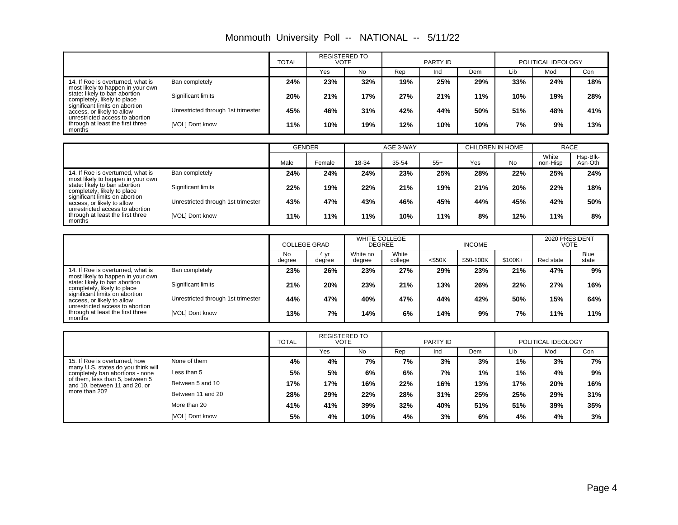| Monmouth University Poll -- NATIONAL -- 5/11/22 |  |  |  |
|-------------------------------------------------|--|--|--|
|-------------------------------------------------|--|--|--|

|                                                                                                 |                                    |     | <b>REGISTERED TO</b><br>VOTE |     |     | PARTY ID |     |     | POLITICAL IDEOLOGY |     |
|-------------------------------------------------------------------------------------------------|------------------------------------|-----|------------------------------|-----|-----|----------|-----|-----|--------------------|-----|
|                                                                                                 |                                    |     | Yes                          | No  | Rep | Ind      | Dem | Lib | Mod                | Con |
| 14. If Roe is overturned, what is<br>most likely to happen in your own                          | Ban completely                     | 24% | 23%                          | 32% | 19% | 25%      | 29% | 33% | 24%                | 18% |
| state: likely to ban abortion<br>completely, likely to place                                    | Significant limits                 | 20% | 21%                          | 17% | 27% | 21%      | 11% | 10% | 19%                | 28% |
| significant limits on abortion<br>access, or likely to allow<br>unrestricted access to abortion | Unrestricted through 1st trimester | 45% | 46%                          | 31% | 42% | 44%      | 50% | 51% | 48%                | 41% |
| through at least the first three<br>months                                                      | [VOL] Dont know                    | 11% | 10%                          | 19% | 12% | 10%      | 10% | 7%  | 9%                 | 13% |

|                                                                                                 |                                    | <b>GENDER</b> |        |       | AGE 3-WAY |       | CHILDREN IN HOME |           | <b>RACE</b>       |                     |
|-------------------------------------------------------------------------------------------------|------------------------------------|---------------|--------|-------|-----------|-------|------------------|-----------|-------------------|---------------------|
|                                                                                                 |                                    | Male          | Female | 18-34 | 35-54     | $55+$ | Yes              | <b>No</b> | White<br>non-Hisp | Hsp-Blk-<br>Asn-Oth |
| 14. If Roe is overturned, what is<br>most likely to happen in your own                          | Ban completely                     | 24%           | 24%    | 24%   | 23%       | 25%   | 28%              | 22%       | 25%               | 24%                 |
| state: likely to ban abortion<br>completely, likely to place                                    | Significant limits                 | 22%           | 19%    | 22%   | 21%       | 19%   | 21%              | 20%       | 22%               | 18%                 |
| significant limits on abortion<br>access, or likely to allow<br>unrestricted access to abortion | Unrestricted through 1st trimester | 43%           | 47%    | 43%   | 46%       | 45%   | 44%              | 45%       | 42%               | 50%                 |
| through at least the first three<br>months                                                      | [VOL] Dont know                    | 11%           | 11%    | 11%   | 10%       | 11%   | 8%               | 12%       | 11%               | 8%                  |

|                                                                                                 |                                    |                     | <b>COLLEGE GRAD</b> |                    | <b>WHITE COLLEGE</b><br><b>DEGREE</b> |           | <b>INCOME</b> |          | 2020 PRESIDENT<br>VOTE |                      |
|-------------------------------------------------------------------------------------------------|------------------------------------|---------------------|---------------------|--------------------|---------------------------------------|-----------|---------------|----------|------------------------|----------------------|
|                                                                                                 |                                    | <b>No</b><br>degree | 4 vr<br>degree      | White no<br>degree | White<br>college                      | $<$ \$50K | \$50-100K     | $$100K+$ | Red state              | <b>Blue</b><br>state |
| 14. If Roe is overturned, what is<br>most likely to happen in your own                          | Ban completely                     | 23%                 | 26%                 | 23%                | 27%                                   | 29%       | 23%           | 21%      | 47%                    | 9%                   |
| state: likely to ban abortion<br>completely, likely to place                                    | Significant limits                 | 21%                 | 20%                 | 23%                | 21%                                   | 13%       | 26%           | 22%      | 27%                    | 16%                  |
| significant limits on abortion<br>access, or likely to allow<br>unrestricted access to abortion | Unrestricted through 1st trimester | 44%                 | 47%                 | 40%                | 47%                                   | 44%       | 42%           | 50%      | 15%                    | 64%                  |
| through at least the first three<br>months                                                      | [VOL] Dont know                    | 13%                 | 7%                  | 14%                | 6%                                    | 14%       | 9%            | 7%       | 11%                    | 11%                  |

|                                                                       |                   | <b>REGISTERED TO</b><br><b>TOTAL</b><br><b>VOTE</b> |     |     | PARTY ID |     |     | POLITICAL IDEOLOGY |     |     |
|-----------------------------------------------------------------------|-------------------|-----------------------------------------------------|-----|-----|----------|-----|-----|--------------------|-----|-----|
|                                                                       |                   |                                                     | Yes | No  | Rep      | Ind | Dem | Lib                | Mod | Con |
| 15. If Roe is overturned, how                                         | None of them      | 4%                                                  | 4%  | 7%  | 7%       | 3%  | 3%  | 1%                 | 3%  | 7%  |
| many U.S. states do you think will<br>completely ban abortions - none | Less than 5       | 5%                                                  | 5%  | 6%  | 6%       | 7%  | 1%  | 1%                 | 4%  | 9%  |
| of them, less than 5, between 5<br>and 10, between 11 and 20, or      | Between 5 and 10  | 17%                                                 | 17% | 16% | 22%      | 16% | 13% | 17%                | 20% | 16% |
| more than 20?                                                         | Between 11 and 20 | 28%                                                 | 29% | 22% | 28%      | 31% | 25% | 25%                | 29% | 31% |
|                                                                       | More than 20      | 41%                                                 | 41% | 39% | 32%      | 40% | 51% | 51%                | 39% | 35% |
|                                                                       | [VOL] Dont know   | 5%                                                  | 4%  | 10% | 4%       | 3%  | 6%  | 4%                 | 4%  | 3%  |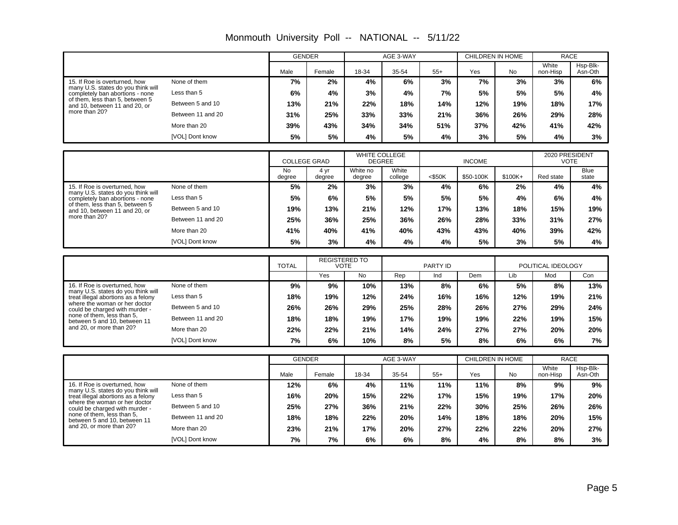|                                                                                              |                   | <b>GENDER</b>       |                                     |                                       | AGE 3-WAY        |           | CHILDREN IN HOME        |           | <b>RACE</b>                   |                      |
|----------------------------------------------------------------------------------------------|-------------------|---------------------|-------------------------------------|---------------------------------------|------------------|-----------|-------------------------|-----------|-------------------------------|----------------------|
|                                                                                              |                   | Male                | Female                              | 18-34                                 | 35-54            | $55+$     | Yes                     | <b>No</b> | White<br>non-Hisp             | Hsp-Blk-<br>Asn-Oth  |
| 15. If Roe is overturned, how                                                                | None of them      | 7%                  | 2%                                  | 4%                                    | 6%               | 3%        | 7%                      | 3%        | 3%                            | 6%                   |
| many U.S. states do you think will<br>completely ban abortions - none                        | Less than 5       | 6%                  | 4%                                  | 3%                                    | 4%               | 7%        | 5%                      | 5%        | 5%                            | 4%                   |
| of them, less than 5, between 5<br>and 10, between 11 and 20, or                             | Between 5 and 10  | 13%                 | 21%                                 | 22%                                   | 18%              | 14%       | 12%                     | 19%       | 18%                           | 17%                  |
| more than 20?                                                                                | Between 11 and 20 | 31%                 | 25%                                 | 33%                                   | 33%              | 21%       | 36%                     | 26%       | 29%                           | 28%                  |
|                                                                                              | More than 20      | 39%                 | 43%                                 | 34%                                   | 34%              | 51%       | 37%                     | 42%       | 41%                           | 42%                  |
|                                                                                              | [VOL] Dont know   | 5%                  | 5%                                  | 4%                                    | 5%               | 4%        | 3%                      | 5%        | 4%                            | 3%                   |
|                                                                                              |                   |                     |                                     |                                       |                  |           |                         |           |                               |                      |
|                                                                                              |                   | <b>COLLEGE GRAD</b> |                                     | <b>WHITE COLLEGE</b><br><b>DEGREE</b> |                  |           | <b>INCOME</b>           |           | 2020 PRESIDENT<br><b>VOTE</b> |                      |
|                                                                                              |                   | <b>No</b><br>degree | 4 yr<br>degree                      | White no<br>degree                    | White<br>college | $<$ \$50K | \$50-100K               | \$100K+   | Red state                     | <b>Blue</b><br>state |
| 15. If Roe is overturned, how<br>many U.S. states do you think will                          | None of them      | 5%                  | 2%                                  | 3%                                    | 3%               | 4%        | 6%                      | 2%        | 4%                            | 4%                   |
| completely ban abortions - none                                                              | Less than 5       | 5%                  | 6%                                  | 5%                                    | 5%               | 5%        | 5%                      | 4%        | 6%                            | 4%                   |
| of them, less than 5, between 5<br>and 10, between 11 and 20, or                             | Between 5 and 10  | 19%                 | 13%                                 | 21%                                   | 12%              | 17%       | 13%                     | 18%       | 15%                           | 19%                  |
| more than 20?                                                                                | Between 11 and 20 | 25%                 | 36%                                 | 25%                                   | 36%              | 26%       | 28%                     | 33%       | 31%                           | 27%                  |
|                                                                                              | More than 20      | 41%                 | 40%                                 | 41%                                   | 40%              | 43%       | 43%                     | 40%       | 39%                           | 42%                  |
|                                                                                              | [VOL] Dont know   | 5%                  | 3%                                  | 4%                                    | 4%               | 4%        | 5%                      | 3%        | 5%                            | 4%                   |
|                                                                                              |                   |                     |                                     |                                       |                  |           |                         |           |                               |                      |
|                                                                                              |                   | <b>TOTAL</b>        | <b>REGISTERED TO</b><br><b>VOTE</b> |                                       |                  | PARTY ID  |                         |           | POLITICAL IDEOLOGY            |                      |
|                                                                                              |                   |                     | Yes                                 | No                                    | Rep              | Ind       | Dem                     | Lib       | Mod                           | Con                  |
| 16. If Roe is overturned, how<br>many U.S. states do you think will                          | None of them      | 9%                  | 9%                                  | 10%                                   | 13%              | 8%        | 6%                      | 5%        | 8%                            | 13%                  |
| treat illegal abortions as a felony<br>where the woman or her doctor                         | Less than 5       | 18%                 | 19%                                 | 12%                                   | 24%              | 16%       | 16%                     | 12%       | 19%                           | 21%                  |
| could be charged with murder -<br>none of them. less than 5.                                 | Between 5 and 10  | 26%                 | 26%                                 | 29%                                   | 25%              | 28%       | 26%                     | 27%       | 29%                           | 24%                  |
| between 5 and 10, between 11                                                                 | Between 11 and 20 | 18%                 | 18%                                 | 19%                                   | 17%              | 19%       | 19%                     | 22%       | 19%                           | 15%                  |
| and 20, or more than 20?                                                                     | More than 20      | 22%                 | 22%                                 | 21%                                   | 14%              | 24%       | 27%                     | 27%       | 20%                           | 20%                  |
|                                                                                              |                   |                     |                                     |                                       |                  |           |                         |           |                               |                      |
|                                                                                              | [VOL] Dont know   | 7%                  | 6%                                  | 10%                                   | 8%               | 5%        | 8%                      | 6%        | 6%                            | 7%                   |
|                                                                                              |                   | <b>GENDER</b>       |                                     |                                       | AGE 3-WAY        |           | <b>CHILDREN IN HOME</b> |           | <b>RACE</b>                   |                      |
|                                                                                              |                   | Male                | Female                              | 18-34                                 | 35-54            | $55+$     | Yes                     | No        | White<br>non-Hisp             | Hsp-Blk-<br>Asn-Oth  |
| 16. If Roe is overturned, how                                                                | None of them      | 12%                 | 6%                                  | 4%                                    | 11%              | 11%       | 11%                     | 8%        | 9%                            | 9%                   |
| many U.S. states do you think will<br>treat illegal abortions as a felony                    | Less than 5       | 16%                 | 20%                                 | 15%                                   | 22%              | 17%       | 15%                     | 19%       | 17%                           | 20%                  |
| where the woman or her doctor                                                                | Between 5 and 10  | 25%                 | 27%                                 | 36%                                   | 21%              | 22%       | 30%                     | 25%       | 26%                           | 26%                  |
| could be charged with murder -<br>none of them. less than 5.<br>between 5 and 10, between 11 | Between 11 and 20 | 18%                 | 18%                                 | 22%                                   | 20%              | 14%       | 18%                     | 18%       | 20%                           | 15%                  |
| and 20, or more than 20?                                                                     | More than 20      | 23%                 | 21%                                 | 17%                                   | 20%              | 27%       | 22%                     | 22%       | 20%                           | 27%                  |

Monmouth University Poll -- NATIONAL -- 5/11/22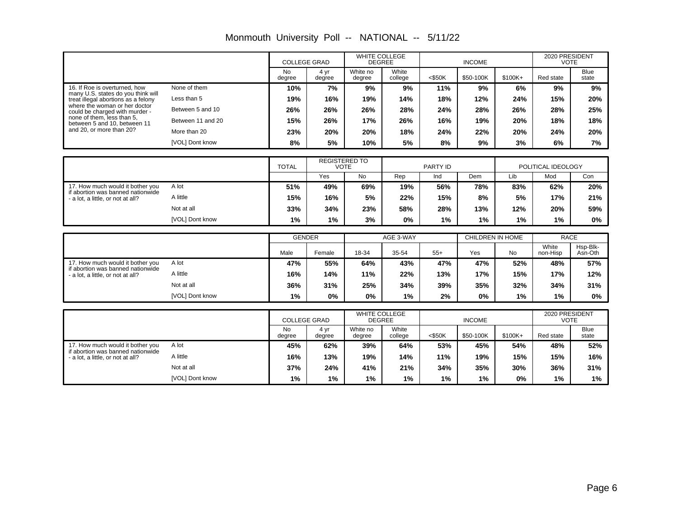|                                                                           |                   |                     | <b>COLLEGE GRAD</b>       | <b>WHITE COLLEGE</b><br><b>DEGREE</b> |                  |                 | <b>INCOME</b>    |           | 2020 PRESIDENT<br><b>VOTE</b> |                     |
|---------------------------------------------------------------------------|-------------------|---------------------|---------------------------|---------------------------------------|------------------|-----------------|------------------|-----------|-------------------------------|---------------------|
|                                                                           |                   | <b>No</b><br>degree | 4 yr<br>degree            | White no<br>degree                    | White<br>college | $<$ \$50K       | \$50-100K        | $$100K+$  | Red state                     | Blue<br>state       |
| 16. If Roe is overturned, how                                             | None of them      | 10%                 | 7%                        | 9%                                    | 9%               | 11%             | 9%               | 6%        | 9%                            | 9%                  |
| many U.S. states do you think will<br>treat illegal abortions as a felony | Less than 5       | 19%                 | 16%                       | 19%                                   | 14%              | 18%             | 12%              | 24%       | 15%                           | 20%                 |
| where the woman or her doctor<br>could be charged with murder -           | Between 5 and 10  | 26%                 | 26%                       | 26%                                   | 28%              | 24%             | 28%              | 26%       | 28%                           | 25%                 |
| none of them, less than 5,<br>between 5 and 10, between 11                | Between 11 and 20 | 15%                 | 26%                       | 17%                                   | 26%              | 16%             | 19%              | 20%       | 18%                           | 18%                 |
| and 20, or more than 20?                                                  | More than 20      | 23%                 | 20%                       | 20%                                   | 18%              | 24%             | 22%              | 20%       | 24%                           | 20%                 |
|                                                                           | [VOL] Dont know   | 8%                  | 5%                        | 10%                                   | 5%               | 8%              | 9%               | 3%        | 6%                            | 7%                  |
|                                                                           |                   |                     |                           | <b>REGISTERED TO</b>                  |                  |                 |                  |           |                               |                     |
|                                                                           |                   | <b>TOTAL</b>        |                           | <b>VOTE</b>                           |                  | <b>PARTY ID</b> |                  |           | POLITICAL IDEOLOGY            |                     |
|                                                                           |                   |                     | Yes                       | <b>No</b>                             | Rep              | Ind             | Dem              | Lib       | Mod                           | Con                 |
| 17. How much would it bother you<br>if abortion was banned nationwide     | A lot             | 51%                 | 49%                       | 69%                                   | 19%              | 56%             | 78%              | 83%       | 62%                           | 20%                 |
| - a lot, a little, or not at all?                                         | A little          | 15%                 | 16%                       | 5%                                    | 22%              | 15%             | 8%               | 5%        | 17%                           | 21%                 |
|                                                                           | Not at all        | 33%                 | 34%                       | 23%                                   | 58%              | 28%             | 13%              | 12%       | 20%                           | 59%                 |
|                                                                           | [VOL] Dont know   | 1%                  | 1%                        | 3%                                    | 0%               | 1%              | 1%               | 1%        | 1%                            | 0%                  |
|                                                                           |                   |                     | <b>GENDER</b>             |                                       | AGE 3-WAY        |                 | CHILDREN IN HOME |           | <b>RACE</b>                   |                     |
|                                                                           |                   | Male                | Female                    | 18-34                                 | 35-54            | $55+$           | Yes              | <b>No</b> | White<br>non-Hisp             | Hsp-Blk-<br>Asn-Oth |
| 17. How much would it bother you                                          | A lot             | 47%                 | 55%                       | 64%                                   | 43%              | 47%             | 47%              | 52%       | 48%                           | 57%                 |
| if abortion was banned nationwide<br>- a lot, a little, or not at all?    | A little          | 16%                 | 14%                       | 11%                                   | 22%              | 13%             | 17%              | 15%       | 17%                           | 12%                 |
|                                                                           | Not at all        | 36%                 | 31%                       | 25%                                   | 34%              | 39%             | 35%              | 32%       | 34%                           | 31%                 |
|                                                                           | [VOL] Dont know   | 1%                  | 0%                        | 0%                                    | 1%               | 2%              | 0%               | 1%        | 1%                            | 0%                  |
|                                                                           |                   |                     |                           |                                       |                  |                 |                  |           |                               |                     |
|                                                                           |                   |                     | <b>COLLEGE GRAD</b>       | WHITE COLLEGE<br><b>DEGREE</b>        |                  |                 | <b>INCOME</b>    |           | 2020 PRESIDENT<br><b>VOTE</b> |                     |
|                                                                           |                   | <b>No</b><br>degree | 4 <sub>yr</sub><br>degree | White no<br>degree                    | White<br>college | $<$ \$50K       | \$50-100K        | \$100K+   | Red state                     | Blue<br>state       |
| 17. How much would it bother you<br>if abortion was banned nationwide     | A lot             | 45%                 | 62%                       | 39%                                   | 64%              | 53%             | 45%              | 54%       | 48%                           | 52%                 |
| - a lot, a little, or not at all?                                         | A little          | 16%                 | 13%                       | 19%                                   | 14%              | 11%             | 19%              | 15%       | 15%                           | 16%                 |
|                                                                           | Not at all        | 37%                 | 24%                       | 41%                                   | 21%              | 34%             | 35%              | 30%       | 36%                           | 31%                 |
|                                                                           | [VOL] Dont know   | 1%                  | 1%                        | 1%                                    | $1\%$            | 1%              | 1%               | 0%        | 1%                            | 1%                  |

Monmouth University Poll -- NATIONAL -- 5/11/22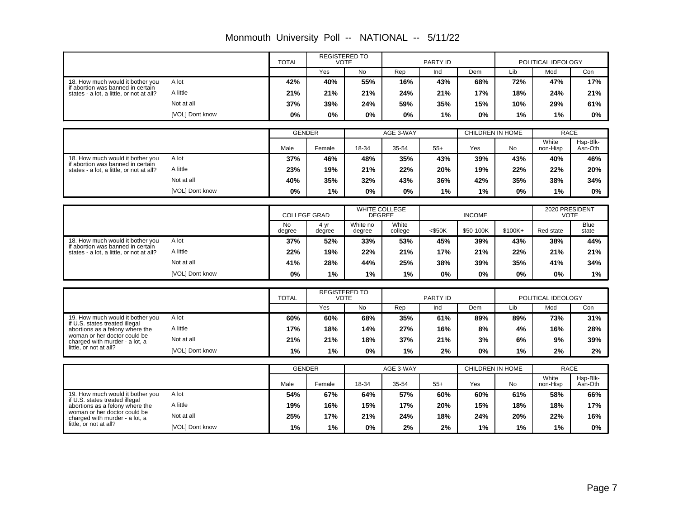|                                                                               |                 | <b>TOTAL</b>        |                      | <b>REGISTERED TO</b><br><b>VOTE</b> |                  | <b>PARTY ID</b> |                  |         | POLITICAL IDEOLOGY            |                      |
|-------------------------------------------------------------------------------|-----------------|---------------------|----------------------|-------------------------------------|------------------|-----------------|------------------|---------|-------------------------------|----------------------|
|                                                                               |                 |                     | Yes                  | <b>No</b>                           | Rep              | Ind             | Dem              | Lib     | Mod                           | Con                  |
| 18. How much would it bother you                                              | A lot           | 42%                 | 40%                  | 55%                                 | 16%              | 43%             | 68%              | 72%     | 47%                           | 17%                  |
| if abortion was banned in certain<br>states - a lot, a little, or not at all? | A little        | 21%                 | 21%                  | 21%                                 | 24%              | 21%             | 17%              | 18%     | 24%                           | 21%                  |
|                                                                               | Not at all      | 37%                 | 39%                  | 24%                                 | 59%              | 35%             | 15%              | 10%     | 29%                           | 61%                  |
|                                                                               | [VOL] Dont know | 0%                  | $0\%$                | 0%                                  | 0%               | 1%              | 0%               | 1%      | 1%                            | 0%                   |
|                                                                               |                 |                     |                      |                                     |                  |                 |                  |         |                               |                      |
|                                                                               |                 | <b>GENDER</b>       |                      |                                     | AGE 3-WAY        |                 | CHILDREN IN HOME |         | <b>RACE</b><br>White          | Hsp-Blk-             |
|                                                                               |                 | Male                | Female               | 18-34                               | 35-54            | $55+$           | Yes              | No      | non-Hisp                      | Asn-Oth              |
| 18. How much would it bother you<br>if abortion was banned in certain         | A lot           | 37%                 | 46%                  | 48%                                 | 35%              | 43%             | 39%              | 43%     | 40%                           | 46%                  |
| states - a lot. a little, or not at all?                                      | A little        | 23%                 | 19%                  | 21%                                 | 22%              | 20%             | 19%              | 22%     | 22%                           | 20%                  |
|                                                                               | Not at all      | 40%                 | 35%                  | 32%                                 | 43%              | 36%             | 42%              | 35%     | 38%                           | 34%                  |
|                                                                               | [VOL] Dont know | 0%                  | 1%                   | $0\%$                               | $0\%$            | 1%              | 1%               | 0%      | 1%                            | $0\%$                |
|                                                                               |                 |                     |                      |                                     |                  |                 |                  |         |                               |                      |
|                                                                               |                 | <b>COLLEGE GRAD</b> |                      | WHITE COLLEGE<br><b>DEGREE</b>      |                  |                 | <b>INCOME</b>    |         | 2020 PRESIDENT<br><b>VOTE</b> |                      |
|                                                                               |                 | <b>No</b><br>degree | 4 vr<br>degree       | White no<br>degree                  | White<br>college | $<$ \$50K       | \$50-100K        | \$100K+ | Red state                     | <b>Blue</b><br>state |
| 18. How much would it bother you                                              | A lot           | 37%                 | 52%                  | 33%                                 | 53%              | 45%             | 39%              | 43%     | 38%                           | 44%                  |
| if abortion was banned in certain<br>states - a lot, a little, or not at all? | A little        | 22%                 | 19%                  | 22%                                 | 21%              | 17%             | 21%              | 22%     | 21%                           | 21%                  |
|                                                                               | Not at all      | 41%                 | 28%                  | 44%                                 | 25%              | 38%             | 39%              | 35%     | 41%                           | 34%                  |
|                                                                               | [VOL] Dont know | 0%                  | 1%                   | 1%                                  | 1%               | 0%              | $0\%$            | 0%      | 0%                            | 1%                   |
|                                                                               |                 |                     |                      |                                     |                  |                 |                  |         |                               |                      |
|                                                                               |                 | <b>TOTAL</b>        | <b>REGISTERED TO</b> | <b>VOTE</b>                         |                  | PARTY ID        |                  |         | POLITICAL IDEOLOGY            |                      |
|                                                                               |                 |                     | Yes                  | <b>No</b>                           | Rep              | Ind             | Dem              | Lib     | Mod                           | Con                  |
| 19. How much would it bother you<br>if U.S. states treated illegal            | A lot           | 60%                 | 60%                  | 68%                                 | 35%              | 61%             | 89%              | 89%     | 73%                           | 31%                  |
| abortions as a felony where the<br>woman or her doctor could be               | A little        | 17%                 | 18%                  | 14%                                 | 27%              | 16%             | 8%               | 4%      | 16%                           | 28%                  |
| charged with murder - a lot, a<br>little, or not at all?                      | Not at all      | 21%                 | 21%                  | 18%                                 | 37%              | 21%             | 3%               | 6%      | 9%                            | 39%                  |
|                                                                               | [VOL] Dont know | 1%                  | 1%                   | 0%                                  | 1%               | 2%              | 0%               | 1%      | 2%                            | 2%                   |
|                                                                               |                 | <b>GENDER</b>       |                      |                                     | AGE 3-WAY        |                 | CHILDREN IN HOME |         | <b>RACE</b>                   |                      |
|                                                                               |                 | Male                | Female               | 18-34                               | 35-54            | $55+$           | Yes              | No      | White<br>non-Hisp             | Hsp-Blk-<br>Asn-Oth  |
| 19. How much would it bother you                                              | A lot           | 54%                 | 67%                  | 64%                                 | 57%              | 60%             | 60%              | 61%     | 58%                           | 66%                  |
| if U.S. states treated illegal<br>abortions as a felony where the             | A little        | 19%                 | 16%                  | 15%                                 | 17%              | 20%             | 15%              | 18%     | 18%                           | 17%                  |
| woman or her doctor could be<br>charged with murder - a lot, a                | Not at all      | 25%                 | 17%                  | 21%                                 | 24%              | 18%             | 24%              | 20%     | 22%                           | 16%                  |
| little, or not at all?                                                        | [VOL] Dont know | 1%                  | 1%                   | $0\%$                               | 2%               | 2%              | 1%               | 1%      | 1%                            | 0%                   |

Monmouth University Poll -- NATIONAL -- 5/11/22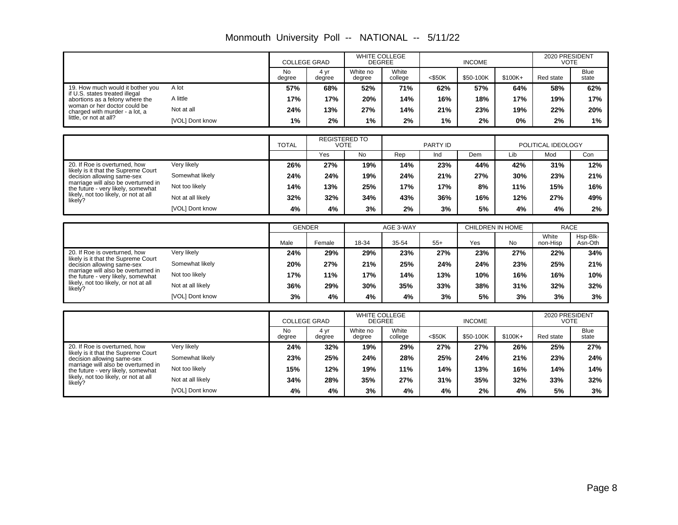|  |  |  | Monmouth University Poll -- NATIONAL -- 5/11/22 |  |
|--|--|--|-------------------------------------------------|--|
|--|--|--|-------------------------------------------------|--|

|                                                                           |                        | <b>COLLEGE GRAD</b> |                                     | <b>WHITE COLLEGE</b><br><b>DEGREE</b> |                  |           | <b>INCOME</b>           |           | 2020 PRESIDENT<br><b>VOTE</b> |                      |
|---------------------------------------------------------------------------|------------------------|---------------------|-------------------------------------|---------------------------------------|------------------|-----------|-------------------------|-----------|-------------------------------|----------------------|
|                                                                           |                        | <b>No</b><br>degree | 4 yr<br>degree                      | White no<br>degree                    | White<br>college | $<$ \$50K | \$50-100K               | $$100K +$ | Red state                     | <b>Blue</b><br>state |
| 19. How much would it bother you<br>if U.S. states treated illegal        | A lot                  | 57%                 | 68%                                 | 52%                                   | 71%              | 62%       | 57%                     | 64%       | 58%                           | 62%                  |
| abortions as a felony where the                                           | A little               | 17%                 | 17%                                 | 20%                                   | 14%              | 16%       | 18%                     | 17%       | 19%                           | 17%                  |
| woman or her doctor could be<br>charged with murder - a lot, a            | Not at all             | 24%                 | 13%                                 | 27%                                   | 14%              | 21%       | 23%                     | 19%       | 22%                           | 20%                  |
| little, or not at all?                                                    | <b>IVOLI Dont know</b> | 1%                  | 2%                                  | 1%                                    | 2%               | 1%        | 2%                      | 0%        | 2%                            | 1%                   |
|                                                                           |                        |                     |                                     |                                       |                  |           |                         |           |                               |                      |
|                                                                           |                        | <b>TOTAL</b>        | <b>REGISTERED TO</b><br><b>VOTE</b> |                                       |                  | PARTY ID  |                         |           | POLITICAL IDEOLOGY            |                      |
|                                                                           |                        |                     | Yes                                 | <b>No</b>                             | Rep              | Ind       | Dem                     | Lib       | Mod                           | Con                  |
| 20. If Roe is overturned, how<br>likely is it that the Supreme Court      | Very likely            | 26%                 | 27%                                 | 19%                                   | 14%              | 23%       | 44%                     | 42%       | 31%                           | 12%                  |
| decision allowing same-sex                                                | Somewhat likely        | 24%                 | 24%                                 | 19%                                   | 24%              | 21%       | 27%                     | 30%       | 23%                           | 21%                  |
| marriage will also be overturned in<br>the future - very likely, somewhat | Not too likely         | 14%                 | 13%                                 | 25%                                   | 17%              | 17%       | 8%                      | 11%       | 15%                           | 16%                  |
| likely, not too likely, or not at all<br>likely?                          | Not at all likely      | 32%                 | 32%                                 | 34%                                   | 43%              | 36%       | 16%                     | 12%       | 27%                           | 49%                  |
|                                                                           | [VOL] Dont know        | 4%                  | 4%                                  | 3%                                    | 2%               | 3%        | 5%                      | 4%        | 4%                            | 2%                   |
|                                                                           |                        |                     |                                     |                                       |                  |           |                         |           |                               |                      |
|                                                                           |                        | <b>GENDER</b>       |                                     |                                       | AGE 3-WAY        |           | <b>CHILDREN IN HOME</b> |           | <b>RACE</b><br>White          | Hsp-Blk-             |
|                                                                           |                        | Male                | Female                              | 18-34                                 | 35-54            | $55+$     | Yes                     | <b>No</b> | non-Hisp                      | Asn-Oth              |
| 20. If Roe is overturned, how<br>likely is it that the Supreme Court      | Verv likelv            | 24%                 | 29%                                 | 29%                                   | 23%              | 27%       | 23%                     | 27%       | 22%                           | 34%                  |
| decision allowing same-sex                                                | Somewhat likely        | 20%                 | 27%                                 | 21%                                   | 25%              | 24%       | 24%                     | 23%       | 25%                           | 21%                  |
| marriage will also be overturned in<br>the future - very likely, somewhat | Not too likely         | 17%                 | 11%                                 | 17%                                   | 14%              | 13%       | 10%                     | 16%       | 16%                           | 10%                  |
| likely, not too likely, or not at all<br>likely?                          | Not at all likely      | 36%                 | 29%                                 | 30%                                   | 35%              | 33%       | 38%                     | 31%       | 32%                           | 32%                  |
|                                                                           | [VOL] Dont know        | 3%                  | 4%                                  | 4%                                    | 4%               | 3%        | 5%                      | 3%        | 3%                            | 3%                   |
|                                                                           |                        |                     |                                     |                                       |                  |           |                         |           |                               |                      |
|                                                                           |                        | <b>COLLEGE GRAD</b> |                                     | <b>WHITE COLLEGE</b><br><b>DEGREE</b> |                  |           | <b>INCOME</b>           |           | 2020 PRESIDENT<br><b>VOTE</b> |                      |
|                                                                           |                        | <b>No</b><br>degree | 4 yr<br>degree                      | White no<br>degree                    | White<br>college | $<$ \$50K | \$50-100K               | \$100K+   | Red state                     | <b>Blue</b><br>state |
| 20. If Roe is overturned, how<br>likely is it that the Supreme Court      | Very likely            | 24%                 | 32%                                 | 19%                                   | 29%              | 27%       | 27%                     | 26%       | 25%                           | 27%                  |
| decision allowing same-sex                                                | Somewhat likely        | 23%                 | 25%                                 | 24%                                   | 28%              | 25%       | 24%                     | 21%       | 23%                           | 24%                  |
| marriage will also be overturned in<br>the future - very likely, somewhat | Not too likely         | 15%                 | 12%                                 | 19%                                   | 11%              | 14%       | 13%                     | 16%       | 14%                           | 14%                  |
| likely, not too likely, or not at all<br>likely?                          | Not at all likely      | 34%                 | 28%                                 | 35%                                   | 27%              | 31%       | 35%                     | 32%       | 33%                           | 32%                  |
|                                                                           | [VOL] Dont know        | 4%                  | 4%                                  | 3%                                    | 4%               | 4%        | 2%                      | 4%        | 5%                            | 3%                   |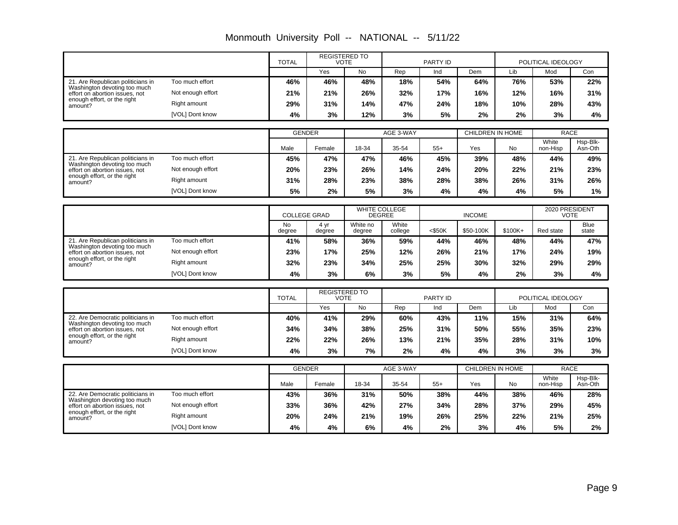|                                                                   |                   | <b>TOTAL</b>        | <b>REGISTERED TO</b>                | <b>VOTE</b>        |                                       | <b>PARTY ID</b> |                         |          | POLITICAL IDEOLOGY            |                      |
|-------------------------------------------------------------------|-------------------|---------------------|-------------------------------------|--------------------|---------------------------------------|-----------------|-------------------------|----------|-------------------------------|----------------------|
|                                                                   |                   |                     | Yes                                 | <b>No</b>          | Rep                                   | Ind             | Dem                     | Lib      | Mod                           | Con                  |
| 21. Are Republican politicians in                                 | Too much effort   | 46%                 | 46%                                 | 48%                | 18%                                   | 54%             | 64%                     | 76%      | 53%                           | 22%                  |
| Washington devoting too much<br>effort on abortion issues, not    | Not enough effort | 21%                 | 21%                                 | 26%                | 32%                                   | 17%             | 16%                     | 12%      | 16%                           | 31%                  |
| enough effort, or the right<br>amount?                            | Right amount      | 29%                 | 31%                                 | 14%                | 47%                                   | 24%             | 18%                     | 10%      | 28%                           | 43%                  |
|                                                                   | [VOL] Dont know   | 4%                  | 3%                                  | 12%                | 3%                                    | 5%              | 2%                      | 2%       | 3%                            | 4%                   |
|                                                                   |                   |                     |                                     |                    |                                       |                 |                         |          |                               |                      |
|                                                                   |                   | <b>GENDER</b>       |                                     |                    | AGE 3-WAY                             |                 | <b>CHILDREN IN HOME</b> |          | <b>RACE</b><br>White          | Hsp-Blk-             |
|                                                                   |                   | Male                | Female                              | 18-34              | 35-54                                 | $55+$           | Yes                     | No       | non-Hisp                      | Asn-Oth              |
| 21. Are Republican politicians in<br>Washington devoting too much | Too much effort   | 45%                 | 47%                                 | 47%                | 46%                                   | 45%             | 39%                     | 48%      | 44%                           | 49%                  |
| effort on abortion issues, not                                    | Not enough effort | 20%                 | 23%                                 | 26%                | 14%                                   | 24%             | 20%                     | 22%      | 21%                           | 23%                  |
| enough effort, or the right<br>amount?                            | Right amount      | 31%                 | 28%                                 | 23%                | 38%                                   | 28%             | 38%                     | 26%      | 31%                           | 26%                  |
|                                                                   | [VOL] Dont know   | 5%                  | 2%                                  | 5%                 | 3%                                    | 4%              | 4%                      | 4%       | 5%                            | 1%                   |
|                                                                   |                   |                     |                                     |                    |                                       |                 |                         |          |                               |                      |
|                                                                   |                   | <b>COLLEGE GRAD</b> |                                     |                    | <b>WHITE COLLEGE</b><br><b>DEGREE</b> |                 | <b>INCOME</b>           |          | 2020 PRESIDENT<br><b>VOTE</b> |                      |
|                                                                   |                   | <b>No</b><br>degree | 4 yr<br>degree                      | White no<br>degree | White<br>college                      | $<$ \$50K       | \$50-100K               | $$100K+$ | Red state                     | <b>Blue</b><br>state |
| 21. Are Republican politicians in                                 | Too much effort   | 41%                 | 58%                                 | 36%                | 59%                                   | 44%             | 46%                     | 48%      | 44%                           | 47%                  |
| Washington devoting too much<br>effort on abortion issues, not    | Not enough effort | 23%                 | 17%                                 | 25%                | 12%                                   | 26%             | 21%                     | 17%      | 24%                           | 19%                  |
| enough effort, or the right<br>amount?                            | Right amount      | 32%                 | 23%                                 | 34%                | 25%                                   | 25%             | 30%                     | 32%      | 29%                           | 29%                  |
|                                                                   | [VOL] Dont know   | 4%                  | 3%                                  | 6%                 | 3%                                    | 5%              | 4%                      | 2%       | 3%                            | 4%                   |
|                                                                   |                   |                     |                                     |                    |                                       |                 |                         |          |                               |                      |
|                                                                   |                   | <b>TOTAL</b>        | <b>REGISTERED TO</b><br><b>VOTE</b> |                    |                                       | PARTY ID        |                         |          | POLITICAL IDEOLOGY            |                      |
|                                                                   |                   |                     | Yes                                 | <b>No</b>          | Rep                                   | Ind             | <b>Dem</b>              | Lib      | Mod                           | Con                  |
| 22. Are Democratic politicians in<br>Washington devoting too much | Too much effort   | 40%                 | 41%                                 | 29%                | 60%                                   | 43%             | 11%                     | 15%      | 31%                           | 64%                  |
| effort on abortion issues, not<br>enough effort, or the right     | Not enough effort | 34%                 | 34%                                 | 38%                | 25%                                   | 31%             | 50%                     | 55%      | 35%                           | 23%                  |
| amount?                                                           | Right amount      | 22%                 | 22%                                 | 26%                | 13%                                   | 21%             | 35%                     | 28%      | 31%                           | 10%                  |
|                                                                   | [VOL] Dont know   | 4%                  | 3%                                  | 7%                 | 2%                                    | 4%              | 4%                      | 3%       | 3%                            | 3%                   |
|                                                                   |                   | <b>GENDER</b>       |                                     |                    | AGE 3-WAY                             |                 | CHILDREN IN HOME        |          | <b>RACE</b>                   |                      |
|                                                                   |                   | Male                | Female                              | 18-34              | 35-54                                 | $55+$           | Yes                     | No       | White<br>non-Hisp             | Hsp-Blk-<br>Asn-Oth  |
| 22. Are Democratic politicians in                                 | Too much effort   | 43%                 | 36%                                 | 31%                | 50%                                   | 38%             | 44%                     | 38%      | 46%                           | 28%                  |
| Washington devoting too much<br>effort on abortion issues, not    | Not enough effort | 33%                 | 36%                                 | 42%                | 27%                                   | 34%             | 28%                     | 37%      | 29%                           | 45%                  |
| enough effort, or the right<br>amount?                            | Right amount      | 20%                 | 24%                                 | 21%                | 19%                                   | 26%             | 25%                     | 22%      | 21%                           | 25%                  |
|                                                                   | [VOL] Dont know   | 4%                  | 4%                                  | 6%                 | 4%                                    | 2%              | 3%                      | 4%       | 5%                            | 2%                   |

Monmouth University Poll -- NATIONAL -- 5/11/22